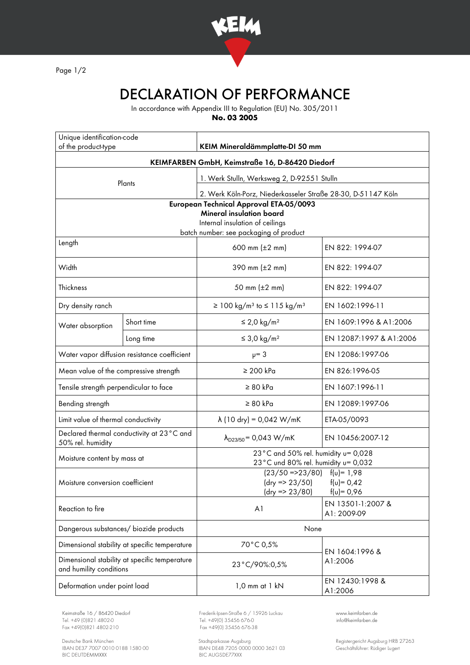

Page 1/2

## DECLARATION OF PERFORMANCE

In accordance with Appendix III to Regulation (EU) No. 305/2011

**No. 03 2005**

| Unique identification-code<br>of the product-type                        |            | KEIM Mineraldämmplatte-DI 50 mm                                                                        |                                  |
|--------------------------------------------------------------------------|------------|--------------------------------------------------------------------------------------------------------|----------------------------------|
| KEIMFARBEN GmbH, Keimstraße 16, D-86420 Diedorf                          |            |                                                                                                        |                                  |
| Plants                                                                   |            | 1. Werk Stulln, Werksweg 2, D-92551 Stulln                                                             |                                  |
|                                                                          |            | 2. Werk Köln-Porz, Niederkasseler Straße 28-30, D-51147 Köln                                           |                                  |
| European Technical Approval ETA-05/0093                                  |            |                                                                                                        |                                  |
| <b>Mineral insulation board</b><br>Internal insulation of ceilings       |            |                                                                                                        |                                  |
| batch number: see packaging of product                                   |            |                                                                                                        |                                  |
| Length                                                                   |            | 600 mm $(\pm 2 \, \text{mm})$                                                                          | EN 822: 1994-07                  |
| Width                                                                    |            | 390 mm $(\pm 2 \, \text{mm})$                                                                          | EN 822: 1994-07                  |
| Thickness                                                                |            | 50 mm (±2 mm)                                                                                          | EN 822: 1994-07                  |
| Dry density ranch                                                        |            | ≥ 100 kg/m <sup>3</sup> to ≤ 115 kg/m <sup>3</sup>                                                     | EN 1602:1996-11                  |
| Water absorption                                                         | Short time | $\leq$ 2,0 kg/m <sup>2</sup>                                                                           | EN 1609:1996 & A1:2006           |
|                                                                          | Long time  | $\leq$ 3,0 kg/m <sup>2</sup>                                                                           | EN 12087:1997 & A1:2006          |
| Water vapor diffusion resistance coefficient                             |            | $\nu = 3$                                                                                              | EN 12086:1997-06                 |
| Mean value of the compressive strength                                   |            | $\geq 200$ kPa                                                                                         | EN 826:1996-05                   |
| Tensile strength perpendicular to face                                   |            | $\geq 80$ kPa                                                                                          | EN 1607:1996-11                  |
| Bending strength                                                         |            | $\geq 80$ kPa                                                                                          | EN 12089:1997-06                 |
| Limit value of thermal conductivity                                      |            | $\lambda$ (10 dry) = 0,042 W/mK                                                                        | ETA-05/0093                      |
| Declared thermal conductivity at 23°C and<br>50% rel. humidity           |            | $\lambda_{D23/50}$ = 0,043 W/mK                                                                        | EN 10456:2007-12                 |
| Moisture content by mass at                                              |            | 23°C and 50% rel. humidity u= 0,028<br>23°C und 80% rel. humidity u= 0,032                             |                                  |
| Moisture conversion coefficient                                          |            | $(23/50 = 23/80)$ $f(u) = 1.98$<br>$(dry = 23/50)$<br>$f(v) = 0,42$<br>(dry => 23/80)<br>$f(u) = 0,96$ |                                  |
| Reaction to fire                                                         |            | A <sub>1</sub>                                                                                         | EN 13501-1:2007 &<br>A1: 2009-09 |
| Dangerous substances/ biozide products                                   |            | None                                                                                                   |                                  |
| Dimensional stability at specific temperature                            |            | 70°C 0,5%                                                                                              | EN 1604:1996 &<br>A1:2006        |
| Dimensional stability at specific temperature<br>and humility conditions |            | 23°C/90%:0,5%                                                                                          |                                  |
| Deformation under point load                                             |            | 1,0 mm at 1 kN                                                                                         | EN 12430:1998 &<br>A1:2006       |

Tel. +49 (0)821 4802-0 Tel. +49 (0) 35456 676-0 Fox +49 (0) 821 4802-0 info@ex +49 (0) 35456 676-38

Deutsche Bank München Stadtsparkasse Augsburg Registergericht Augsburg HRB 27263 IBAN DE37 7007 0010 0188 1580 00 IBAN DE48 7205 0000 0000 3621 03 Geschäftsführer: Rüdiger Lugert BIC DEUTDEMMXXX BIC AUGSDE77XXX

Keimstraße 16 / 86420 Diedorf Frederik-Ipsen-Straße 6 / 15926 Luckau [www.keimfarben.de](http://www.keimfarben.de/)  $Fax + 49(0)35456676-38$